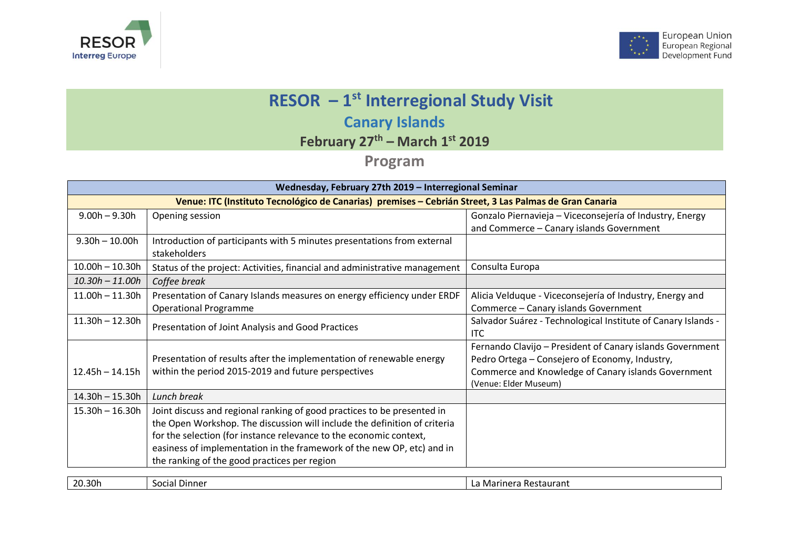



## **RESOR – 1 st Interregional Study Visit Canary Islands**

**February 27th – March 1 st 2019**

**Program**

| Wednesday, February 27th 2019 - Interregional Seminar                                                  |                                                                                         |                                                                              |  |  |
|--------------------------------------------------------------------------------------------------------|-----------------------------------------------------------------------------------------|------------------------------------------------------------------------------|--|--|
| Venue: ITC (Instituto Tecnológico de Canarias) premises - Cebrián Street, 3 Las Palmas de Gran Canaria |                                                                                         |                                                                              |  |  |
| $9.00h - 9.30h$                                                                                        | Opening session                                                                         | Gonzalo Piernavieja - Viceconsejería of Industry, Energy                     |  |  |
|                                                                                                        |                                                                                         | and Commerce - Canary islands Government                                     |  |  |
| $9.30h - 10.00h$                                                                                       | Introduction of participants with 5 minutes presentations from external<br>stakeholders |                                                                              |  |  |
| $10.00h - 10.30h$                                                                                      | Status of the project: Activities, financial and administrative management              | Consulta Europa                                                              |  |  |
| $10.30h - 11.00h$                                                                                      | Coffee break                                                                            |                                                                              |  |  |
| $11.00h - 11.30h$                                                                                      | Presentation of Canary Islands measures on energy efficiency under ERDF                 | Alicia Velduque - Viceconsejería of Industry, Energy and                     |  |  |
|                                                                                                        | <b>Operational Programme</b>                                                            | Commerce - Canary islands Government                                         |  |  |
| $11.30h - 12.30h$                                                                                      | Presentation of Joint Analysis and Good Practices                                       | Salvador Suárez - Technological Institute of Canary Islands -<br><b>ITC</b>  |  |  |
|                                                                                                        |                                                                                         | Fernando Clavijo - President of Canary islands Government                    |  |  |
|                                                                                                        | Presentation of results after the implementation of renewable energy                    | Pedro Ortega - Consejero of Economy, Industry,                               |  |  |
| $12.45h - 14.15h$                                                                                      | within the period 2015-2019 and future perspectives                                     | Commerce and Knowledge of Canary islands Government<br>(Venue: Elder Museum) |  |  |
| $14.30h - 15.30h$                                                                                      | Lunch break                                                                             |                                                                              |  |  |
| $15.30h - 16.30h$                                                                                      | Joint discuss and regional ranking of good practices to be presented in                 |                                                                              |  |  |
|                                                                                                        | the Open Workshop. The discussion will include the definition of criteria               |                                                                              |  |  |
|                                                                                                        | for the selection (for instance relevance to the economic context,                      |                                                                              |  |  |
|                                                                                                        | easiness of implementation in the framework of the new OP, etc) and in                  |                                                                              |  |  |
|                                                                                                        | the ranking of the good practices per region                                            |                                                                              |  |  |
|                                                                                                        |                                                                                         |                                                                              |  |  |
| 20.30h                                                                                                 | Social Dinner                                                                           | La Marinera Restaurant                                                       |  |  |